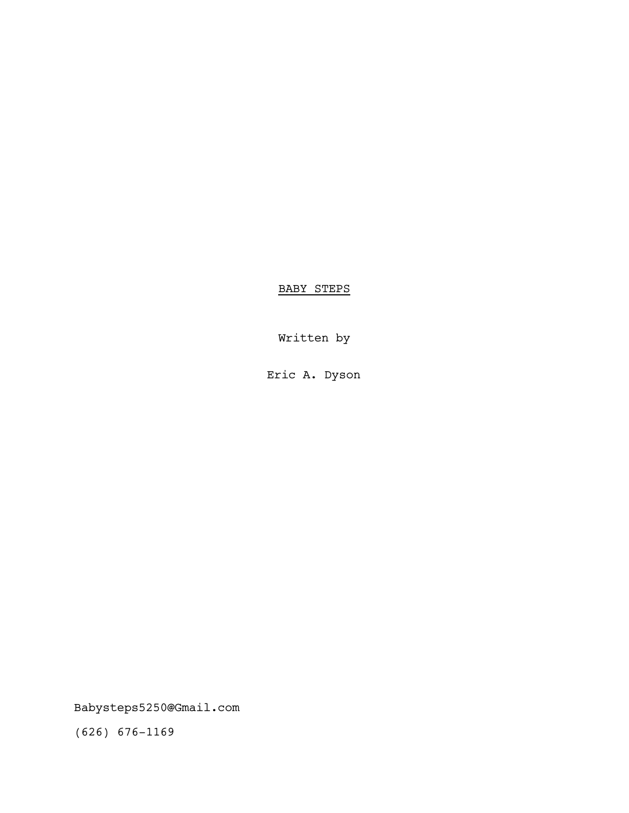BABY STEPS

Written by

Eric A. Dyson

Babysteps5250@Gmail.com

(626) 676-1169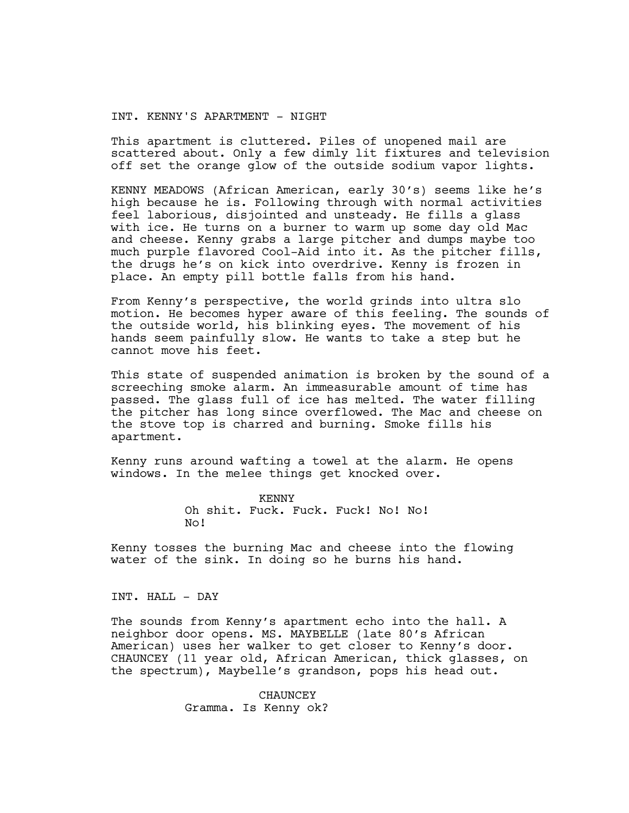INT. KENNY'S APARTMENT - NIGHT

This apartment is cluttered. Piles of unopened mail are scattered about. Only a few dimly lit fixtures and television off set the orange glow of the outside sodium vapor lights.

KENNY MEADOWS (African American, early 30's) seems like he's high because he is. Following through with normal activities feel laborious, disjointed and unsteady. He fills a glass with ice. He turns on a burner to warm up some day old Mac and cheese. Kenny grabs a large pitcher and dumps maybe too much purple flavored Cool-Aid into it. As the pitcher fills, the drugs he's on kick into overdrive. Kenny is frozen in place. An empty pill bottle falls from his hand.

From Kenny's perspective, the world grinds into ultra slo motion. He becomes hyper aware of this feeling. The sounds of the outside world, his blinking eyes. The movement of his hands seem painfully slow. He wants to take a step but he cannot move his feet.

This state of suspended animation is broken by the sound of a screeching smoke alarm. An immeasurable amount of time has passed. The glass full of ice has melted. The water filling the pitcher has long since overflowed. The Mac and cheese on the stove top is charred and burning. Smoke fills his apartment.

Kenny runs around wafting a towel at the alarm. He opens windows. In the melee things get knocked over.

> KENNY Oh shit. Fuck. Fuck. Fuck! No! No! No!

Kenny tosses the burning Mac and cheese into the flowing water of the sink. In doing so he burns his hand.

INT. HALL - DAY

The sounds from Kenny's apartment echo into the hall. A neighbor door opens. MS. MAYBELLE (late 80's African American) uses her walker to get closer to Kenny's door. CHAUNCEY (11 year old, African American, thick glasses, on the spectrum), Maybelle's grandson, pops his head out.

> CHAUNCEY Gramma. Is Kenny ok?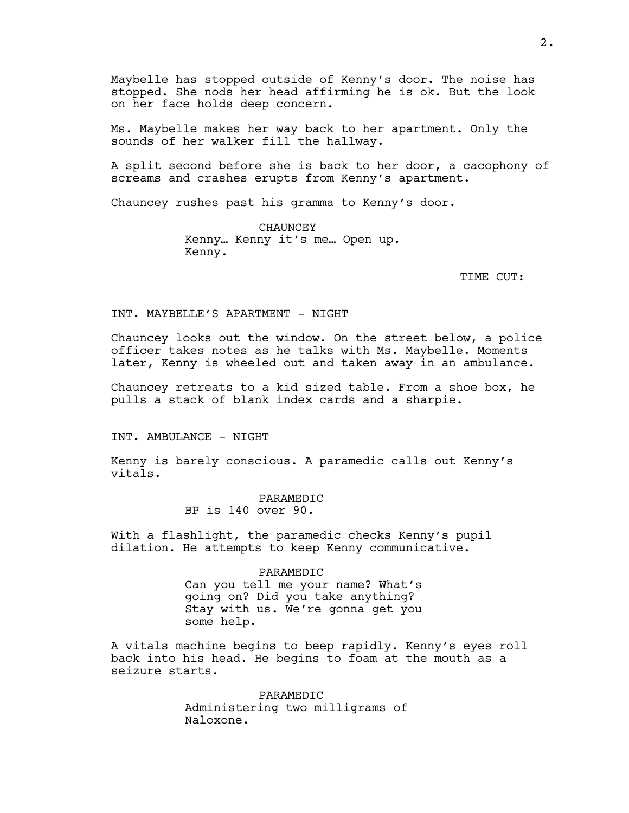Maybelle has stopped outside of Kenny's door. The noise has stopped. She nods her head affirming he is ok. But the look on her face holds deep concern.

Ms. Maybelle makes her way back to her apartment. Only the sounds of her walker fill the hallway.

A split second before she is back to her door, a cacophony of screams and crashes erupts from Kenny's apartment.

Chauncey rushes past his gramma to Kenny's door.

CHAUNCEY Kenny… Kenny it's me… Open up. Kenny.

TIME CUT:

## INT. MAYBELLE'S APARTMENT - NIGHT

Chauncey looks out the window. On the street below, a police officer takes notes as he talks with Ms. Maybelle. Moments later, Kenny is wheeled out and taken away in an ambulance.

Chauncey retreats to a kid sized table. From a shoe box, he pulls a stack of blank index cards and a sharpie.

INT. AMBULANCE - NIGHT

Kenny is barely conscious. A paramedic calls out Kenny's vitals.

# PARAMEDIC

BP is 140 over 90.

With a flashlight, the paramedic checks Kenny's pupil dilation. He attempts to keep Kenny communicative.

#### PARAMEDIC

Can you tell me your name? What's going on? Did you take anything? Stay with us. We're gonna get you some help.

A vitals machine begins to beep rapidly. Kenny's eyes roll back into his head. He begins to foam at the mouth as a seizure starts.

> PARAMEDIC Administering two milligrams of Naloxone.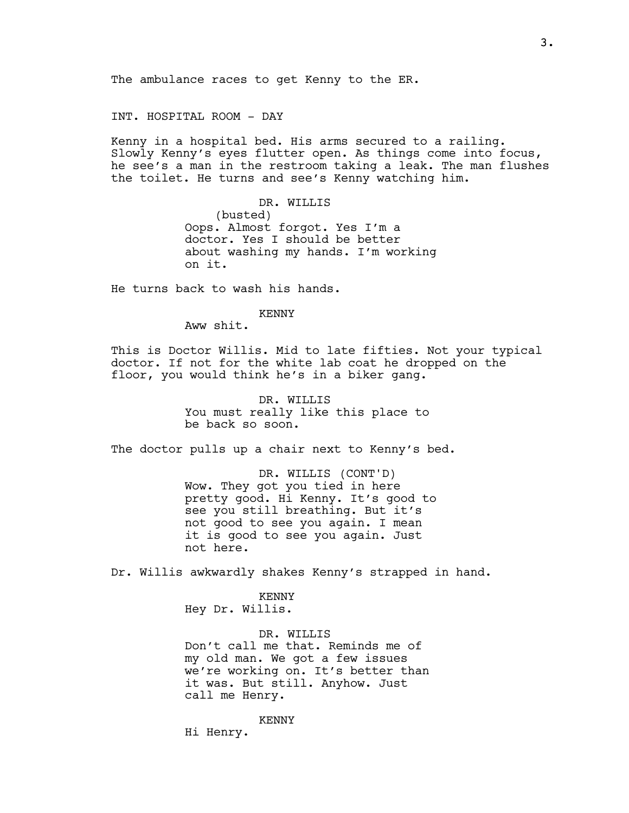INT. HOSPITAL ROOM - DAY

Kenny in a hospital bed. His arms secured to a railing. Slowly Kenny's eyes flutter open. As things come into focus, he see's a man in the restroom taking a leak. The man flushes the toilet. He turns and see's Kenny watching him.

DR. WILLIS

(busted) Oops. Almost forgot. Yes I'm a doctor. Yes I should be better about washing my hands. I'm working on it.

He turns back to wash his hands.

### KENNY

Aww shit.

This is Doctor Willis. Mid to late fifties. Not your typical doctor. If not for the white lab coat he dropped on the floor, you would think he's in a biker gang.

> DR. WILLIS You must really like this place to be back so soon.

The doctor pulls up a chair next to Kenny's bed.

DR. WILLIS (CONT'D) Wow. They got you tied in here pretty good. Hi Kenny. It's good to see you still breathing. But it's not good to see you again. I mean it is good to see you again. Just not here.

Dr. Willis awkwardly shakes Kenny's strapped in hand.

KENNY Hey Dr. Willis.

DR. WILLIS Don't call me that. Reminds me of my old man. We got a few issues we're working on. It's better than it was. But still. Anyhow. Just call me Henry.

KENNY

3.

Hi Henry.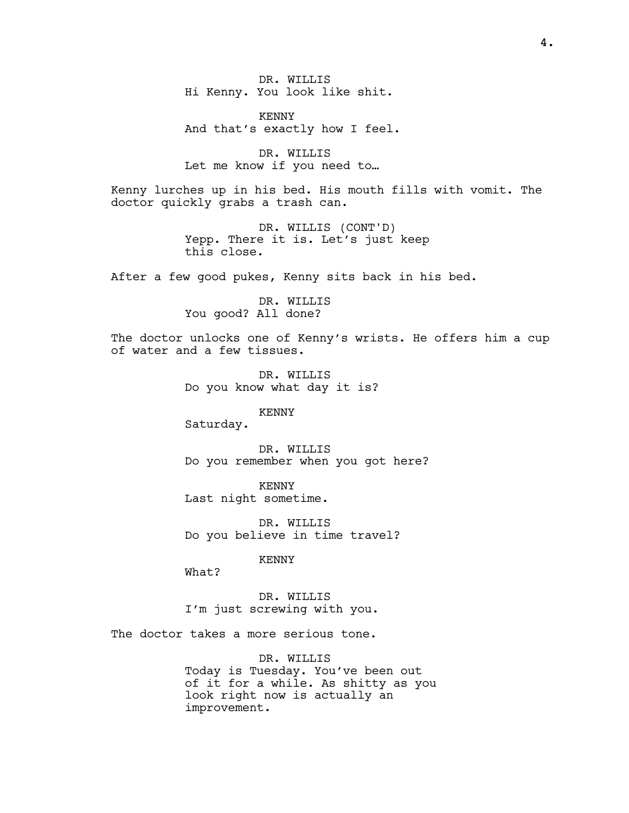DR. WILLIS Hi Kenny. You look like shit.

KENNY And that's exactly how I feel.

DR. WILLIS Let me know if you need to…

Kenny lurches up in his bed. His mouth fills with vomit. The doctor quickly grabs a trash can.

> DR. WILLIS (CONT'D) Yepp. There it is. Let's just keep this close.

After a few good pukes, Kenny sits back in his bed.

DR. WILLIS You good? All done?

The doctor unlocks one of Kenny's wrists. He offers him a cup of water and a few tissues.

> DR. WILLIS Do you know what day it is?

> > KENNY

Saturday.

DR. WILLIS Do you remember when you got here?

KENNY Last night sometime.

DR. WILLIS Do you believe in time travel?

KENNY

What?

DR. WILLIS I'm just screwing with you.

The doctor takes a more serious tone.

DR. WILLIS Today is Tuesday. You've been out of it for a while. As shitty as you look right now is actually an improvement.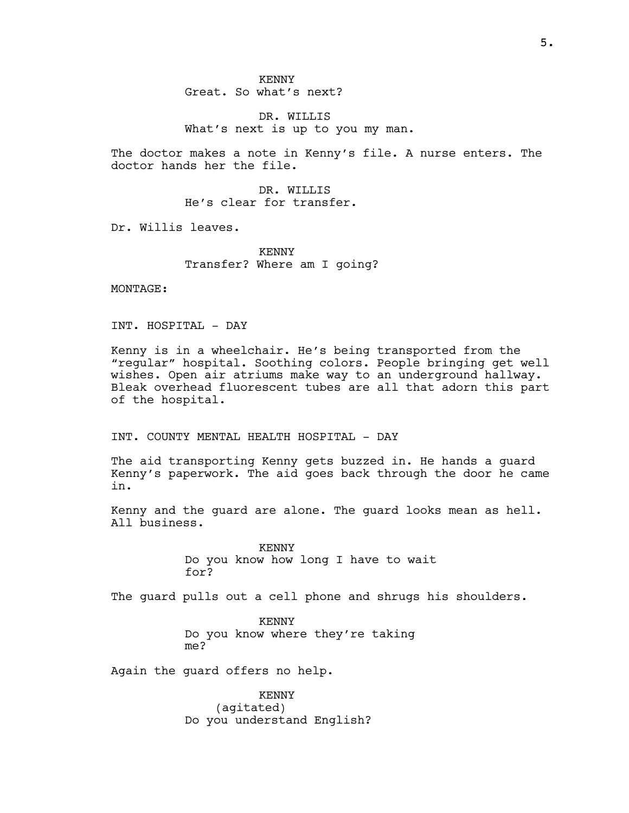DR. WILLIS What's next is up to you my man.

The doctor makes a note in Kenny's file. A nurse enters. The doctor hands her the file.

> DR. WILLIS He's clear for transfer.

Dr. Willis leaves.

KENNY Transfer? Where am I going?

MONTAGE:

INT. HOSPITAL - DAY

Kenny is in a wheelchair. He's being transported from the "regular" hospital. Soothing colors. People bringing get well wishes. Open air atriums make way to an underground hallway. Bleak overhead fluorescent tubes are all that adorn this part of the hospital.

INT. COUNTY MENTAL HEALTH HOSPITAL - DAY

The aid transporting Kenny gets buzzed in. He hands a guard Kenny's paperwork. The aid goes back through the door he came in.

Kenny and the guard are alone. The guard looks mean as hell. All business.

> KENNY Do you know how long I have to wait for?

The guard pulls out a cell phone and shrugs his shoulders.

KENNY Do you know where they're taking me?

Again the guard offers no help.

KENNY (agitated) Do you understand English?